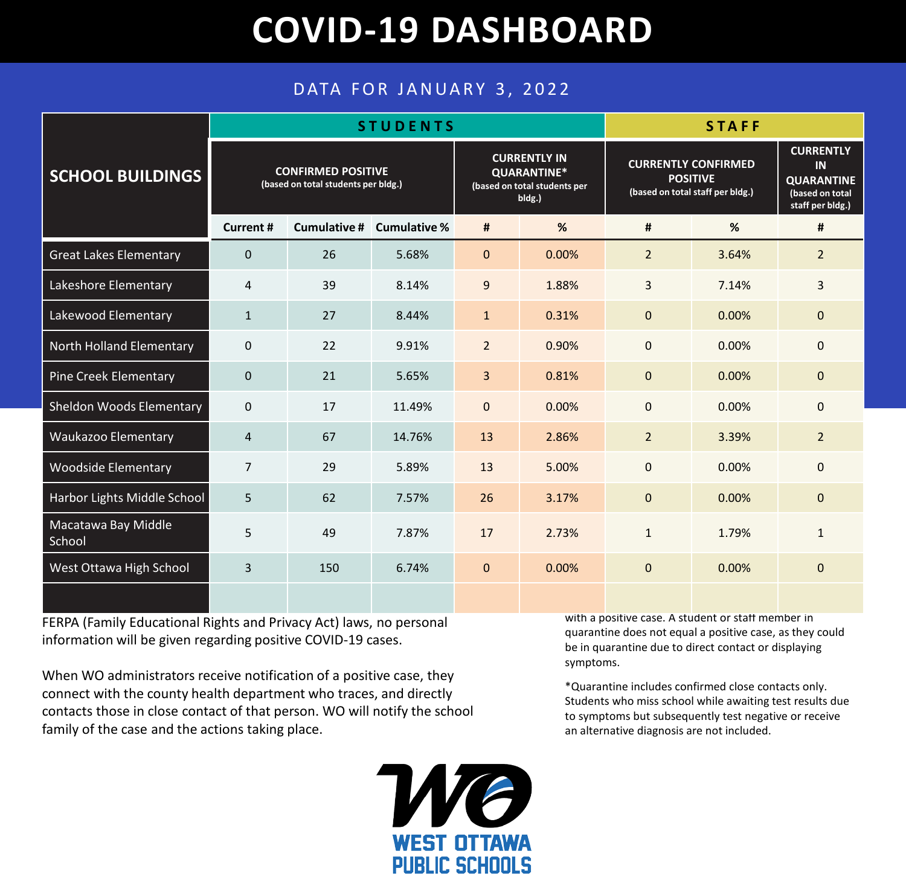## **COVID-19 DASHBOARD**

## DATA FOR JANUARY 3, 2022

| <b>SCHOOL BUILDINGS</b>         | <b>STUDENTS</b>                                                  |              |                     |                                                                              |       | <b>STAFF</b>                                                                      |       |                                                                                    |
|---------------------------------|------------------------------------------------------------------|--------------|---------------------|------------------------------------------------------------------------------|-------|-----------------------------------------------------------------------------------|-------|------------------------------------------------------------------------------------|
|                                 | <b>CONFIRMED POSITIVE</b><br>(based on total students per bldg.) |              |                     | <b>CURRENTLY IN</b><br>QUARANTINE*<br>(based on total students per<br>bldg.) |       | <b>CURRENTLY CONFIRMED</b><br><b>POSITIVE</b><br>(based on total staff per bldg.) |       | <b>CURRENTLY</b><br>IN<br><b>QUARANTINE</b><br>(based on total<br>staff per bldg.) |
|                                 | <b>Current#</b>                                                  | Cumulative # | <b>Cumulative %</b> | #                                                                            | %     | #                                                                                 | %     | #                                                                                  |
| <b>Great Lakes Elementary</b>   | $\Omega$                                                         | 26           | 5.68%               | $\mathbf{0}$                                                                 | 0.00% | $\overline{2}$                                                                    | 3.64% | $\overline{2}$                                                                     |
| Lakeshore Elementary            | $\overline{4}$                                                   | 39           | 8.14%               | $9\,$                                                                        | 1.88% | $\overline{3}$                                                                    | 7.14% | 3                                                                                  |
| Lakewood Elementary             | $\mathbf{1}$                                                     | 27           | 8.44%               | $\mathbf{1}$                                                                 | 0.31% | $\mathbf{0}$                                                                      | 0.00% | $\mathbf{0}$                                                                       |
| <b>North Holland Elementary</b> | $\mathbf 0$                                                      | 22           | 9.91%               | $\overline{2}$                                                               | 0.90% | $\mathbf 0$                                                                       | 0.00% | $\mathbf 0$                                                                        |
| <b>Pine Creek Elementary</b>    | $\mathbf 0$                                                      | 21           | 5.65%               | 3                                                                            | 0.81% | $\mathbf{0}$                                                                      | 0.00% | $\mathbf{0}$                                                                       |
| <b>Sheldon Woods Elementary</b> | $\mathbf 0$                                                      | 17           | 11.49%              | $\mathbf 0$                                                                  | 0.00% | $\mathbf 0$                                                                       | 0.00% | $\mathbf{0}$                                                                       |
| <b>Waukazoo Elementary</b>      | 4                                                                | 67           | 14.76%              | 13                                                                           | 2.86% | $2^{\circ}$                                                                       | 3.39% | $\overline{2}$                                                                     |
| <b>Woodside Elementary</b>      | $\overline{7}$                                                   | 29           | 5.89%               | 13                                                                           | 5.00% | $\mathbf 0$                                                                       | 0.00% | $\Omega$                                                                           |
| Harbor Lights Middle School     | 5                                                                | 62           | 7.57%               | 26                                                                           | 3.17% | $\mathbf 0$                                                                       | 0.00% | $\mathbf{0}$                                                                       |
| Macatawa Bay Middle<br>School   | 5                                                                | 49           | 7.87%               | 17                                                                           | 2.73% | $\mathbf{1}$                                                                      | 1.79% | $\mathbf{1}$                                                                       |
| West Ottawa High School         | $\overline{3}$                                                   | 150          | 6.74%               | $\mathbf{0}$                                                                 | 0.00% | $\mathbf 0$                                                                       | 0.00% | $\Omega$                                                                           |
|                                 |                                                                  |              |                     |                                                                              |       |                                                                                   |       |                                                                                    |

FERPA (Family Educational Rights and Privacy Act) laws, no personal information will be given regarding positive COVID-19 cases.

When WO administrators receive notification of a positive case, they connect with the county health department who traces, and directly contacts those in close contact of that person. WO will notify the school family of the case and the actions taking place.

> F **WEST OTTAWA PUBLIC SCHOOLS**

with a positive case. A student or staff member in quarantine does not equal a positive case, as they could be in quarantine due to direct contact or displaying symptoms.

\*Quarantine includes confirmed close contacts only. Students who miss school while awaiting test results due to symptoms but subsequently test negative or receive an alternative diagnosis are not included.